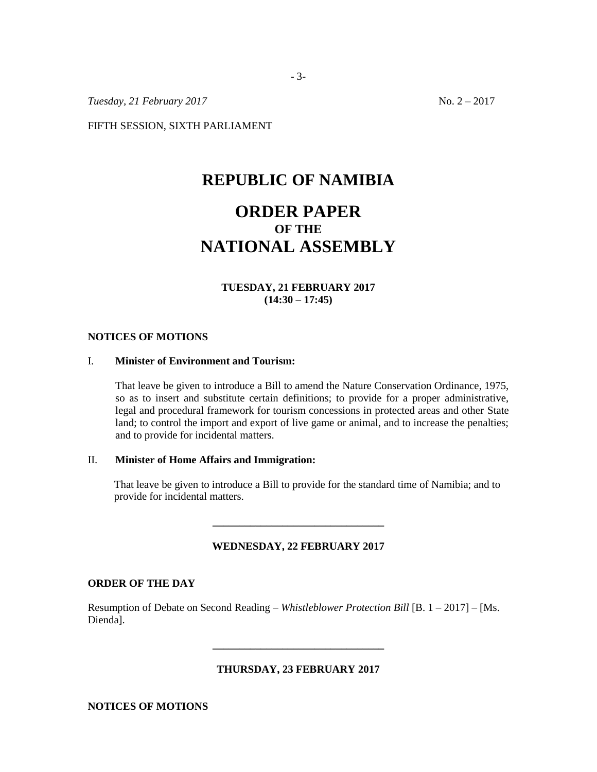*Tuesday, 21 February 2017* No. 2 – 2017

FIFTH SESSION, SIXTH PARLIAMENT

## **REPUBLIC OF NAMIBIA**

# **ORDER PAPER OF THE NATIONAL ASSEMBLY**

### **TUESDAY, 21 FEBRUARY 2017 (14:30 – 17:45)**

#### **NOTICES OF MOTIONS**

#### I. **Minister of Environment and Tourism:**

That leave be given to introduce a Bill to amend the Nature Conservation Ordinance, 1975, so as to insert and substitute certain definitions; to provide for a proper administrative, legal and procedural framework for tourism concessions in protected areas and other State land; to control the import and export of live game or animal, and to increase the penalties; and to provide for incidental matters.

#### II. **Minister of Home Affairs and Immigration:**

That leave be given to introduce a Bill to provide for the standard time of Namibia; and to provide for incidental matters.

### **WEDNESDAY, 22 FEBRUARY 2017**

**\_\_\_\_\_\_\_\_\_\_\_\_\_\_\_\_\_\_\_\_\_\_\_\_\_\_\_\_\_\_\_\_**

#### **ORDER OF THE DAY**

Resumption of Debate on Second Reading – *Whistleblower Protection Bill* [B. 1 – 2017] – [Ms. Dienda].

### **THURSDAY, 23 FEBRUARY 2017**

**\_\_\_\_\_\_\_\_\_\_\_\_\_\_\_\_\_\_\_\_\_\_\_\_\_\_\_\_\_\_\_\_**

**NOTICES OF MOTIONS**